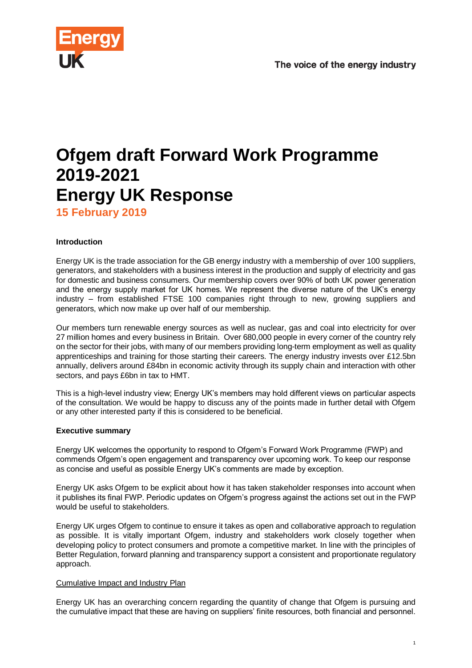

# **Ofgem draft Forward Work Programme 2019-2021 Energy UK Response**

**15 February 2019**

## **Introduction**

Energy UK is the trade association for the GB energy industry with a membership of over 100 suppliers, generators, and stakeholders with a business interest in the production and supply of electricity and gas for domestic and business consumers. Our membership covers over 90% of both UK power generation and the energy supply market for UK homes. We represent the diverse nature of the UK's energy industry – from established FTSE 100 companies right through to new, growing suppliers and generators, which now make up over half of our membership.

Our members turn renewable energy sources as well as nuclear, gas and coal into electricity for over 27 million homes and every business in Britain. Over 680,000 people in every corner of the country rely on the sector for their jobs, with many of our members providing long-term employment as well as quality apprenticeships and training for those starting their careers. The energy industry invests over £12.5bn annually, delivers around £84bn in economic activity through its supply chain and interaction with other sectors, and pays £6bn in tax to HMT.

This is a high-level industry view; Energy UK's members may hold different views on particular aspects of the consultation. We would be happy to discuss any of the points made in further detail with Ofgem or any other interested party if this is considered to be beneficial.

## **Executive summary**

Energy UK welcomes the opportunity to respond to Ofgem's Forward Work Programme (FWP) and commends Ofgem's open engagement and transparency over upcoming work. To keep our response as concise and useful as possible Energy UK's comments are made by exception.

Energy UK asks Ofgem to be explicit about how it has taken stakeholder responses into account when it publishes its final FWP. Periodic updates on Ofgem's progress against the actions set out in the FWP would be useful to stakeholders.

Energy UK urges Ofgem to continue to ensure it takes as open and collaborative approach to regulation as possible. It is vitally important Ofgem, industry and stakeholders work closely together when developing policy to protect consumers and promote a competitive market. In line with the principles of Better Regulation, forward planning and transparency support a consistent and proportionate regulatory approach.

## Cumulative Impact and Industry Plan

Energy UK has an overarching concern regarding the quantity of change that Ofgem is pursuing and the cumulative impact that these are having on suppliers' finite resources, both financial and personnel.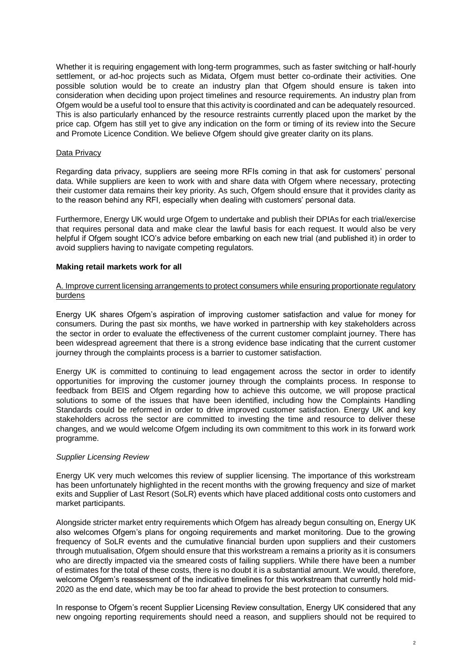Whether it is requiring engagement with long-term programmes, such as faster switching or half-hourly settlement, or ad-hoc projects such as Midata, Ofgem must better co-ordinate their activities. One possible solution would be to create an industry plan that Ofgem should ensure is taken into consideration when deciding upon project timelines and resource requirements. An industry plan from Ofgem would be a useful tool to ensure that this activity is coordinated and can be adequately resourced. This is also particularly enhanced by the resource restraints currently placed upon the market by the price cap. Ofgem has still yet to give any indication on the form or timing of its review into the Secure and Promote Licence Condition. We believe Ofgem should give greater clarity on its plans.

#### Data Privacy

Regarding data privacy, suppliers are seeing more RFIs coming in that ask for customers' personal data. While suppliers are keen to work with and share data with Ofgem where necessary, protecting their customer data remains their key priority. As such, Ofgem should ensure that it provides clarity as to the reason behind any RFI, especially when dealing with customers' personal data.

Furthermore, Energy UK would urge Ofgem to undertake and publish their DPIAs for each trial/exercise that requires personal data and make clear the lawful basis for each request. It would also be very helpful if Ofgem sought ICO's advice before embarking on each new trial (and published it) in order to avoid suppliers having to navigate competing regulators.

## **Making retail markets work for all**

## A. Improve current licensing arrangements to protect consumers while ensuring proportionate regulatory burdens

Energy UK shares Ofgem's aspiration of improving customer satisfaction and value for money for consumers. During the past six months, we have worked in partnership with key stakeholders across the sector in order to evaluate the effectiveness of the current customer complaint journey. There has been widespread agreement that there is a strong evidence base indicating that the current customer journey through the complaints process is a barrier to customer satisfaction.

Energy UK is committed to continuing to lead engagement across the sector in order to identify opportunities for improving the customer journey through the complaints process. In response to feedback from BEIS and Ofgem regarding how to achieve this outcome, we will propose practical solutions to some of the issues that have been identified, including how the Complaints Handling Standards could be reformed in order to drive improved customer satisfaction. Energy UK and key stakeholders across the sector are committed to investing the time and resource to deliver these changes, and we would welcome Ofgem including its own commitment to this work in its forward work programme.

#### *Supplier Licensing Review*

Energy UK very much welcomes this review of supplier licensing. The importance of this workstream has been unfortunately highlighted in the recent months with the growing frequency and size of market exits and Supplier of Last Resort (SoLR) events which have placed additional costs onto customers and market participants.

Alongside stricter market entry requirements which Ofgem has already begun consulting on, Energy UK also welcomes Ofgem's plans for ongoing requirements and market monitoring. Due to the growing frequency of SoLR events and the cumulative financial burden upon suppliers and their customers through mutualisation, Ofgem should ensure that this workstream a remains a priority as it is consumers who are directly impacted via the smeared costs of failing suppliers. While there have been a number of estimates for the total of these costs, there is no doubt it is a substantial amount. We would, therefore, welcome Ofgem's reassessment of the indicative timelines for this workstream that currently hold mid-2020 as the end date, which may be too far ahead to provide the best protection to consumers.

In response to Ofgem's recent Supplier Licensing Review consultation, Energy UK considered that any new ongoing reporting requirements should need a reason, and suppliers should not be required to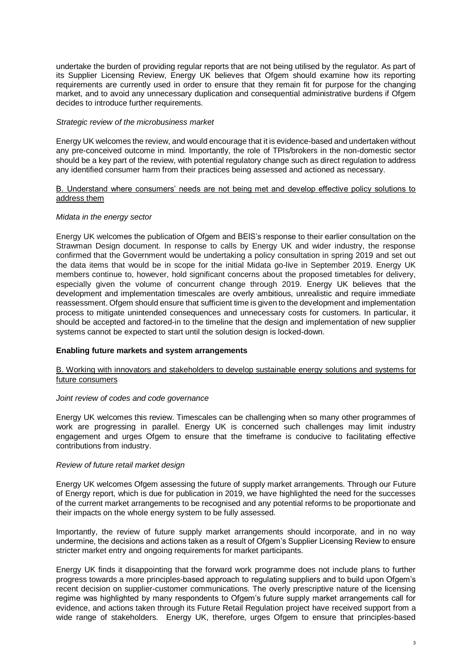undertake the burden of providing regular reports that are not being utilised by the regulator. As part of its Supplier Licensing Review, Energy UK believes that Ofgem should examine how its reporting requirements are currently used in order to ensure that they remain fit for purpose for the changing market, and to avoid any unnecessary duplication and consequential administrative burdens if Ofgem decides to introduce further requirements.

#### *Strategic review of the microbusiness market*

Energy UK welcomes the review, and would encourage that it is evidence-based and undertaken without any pre-conceived outcome in mind. Importantly, the role of TPIs/brokers in the non-domestic sector should be a key part of the review, with potential regulatory change such as direct regulation to address any identified consumer harm from their practices being assessed and actioned as necessary.

#### B. Understand where consumers' needs are not being met and develop effective policy solutions to address them

## *Midata in the energy sector*

Energy UK welcomes the publication of Ofgem and BEIS's response to their earlier consultation on the Strawman Design document. In response to calls by Energy UK and wider industry, the response confirmed that the Government would be undertaking a policy consultation in spring 2019 and set out the data items that would be in scope for the initial Midata go-live in September 2019. Energy UK members continue to, however, hold significant concerns about the proposed timetables for delivery, especially given the volume of concurrent change through 2019. Energy UK believes that the development and implementation timescales are overly ambitious, unrealistic and require immediate reassessment. Ofgem should ensure that sufficient time is given to the development and implementation process to mitigate unintended consequences and unnecessary costs for customers. In particular, it should be accepted and factored-in to the timeline that the design and implementation of new supplier systems cannot be expected to start until the solution design is locked-down.

## **Enabling future markets and system arrangements**

## B. Working with innovators and stakeholders to develop sustainable energy solutions and systems for future consumers

#### *Joint review of codes and code governance*

Energy UK welcomes this review. Timescales can be challenging when so many other programmes of work are progressing in parallel. Energy UK is concerned such challenges may limit industry engagement and urges Ofgem to ensure that the timeframe is conducive to facilitating effective contributions from industry.

#### *Review of future retail market design*

Energy UK welcomes Ofgem assessing the future of supply market arrangements. Through our Future of Energy report, which is due for publication in 2019, we have highlighted the need for the successes of the current market arrangements to be recognised and any potential reforms to be proportionate and their impacts on the whole energy system to be fully assessed.

Importantly, the review of future supply market arrangements should incorporate, and in no way undermine, the decisions and actions taken as a result of Ofgem's Supplier Licensing Review to ensure stricter market entry and ongoing requirements for market participants.

Energy UK finds it disappointing that the forward work programme does not include plans to further progress towards a more principles-based approach to regulating suppliers and to build upon Ofgem's recent decision on supplier-customer communications. The overly prescriptive nature of the licensing regime was highlighted by many respondents to Ofgem's future supply market arrangements call for evidence, and actions taken through its Future Retail Regulation project have received support from a wide range of stakeholders. Energy UK, therefore, urges Ofgem to ensure that principles-based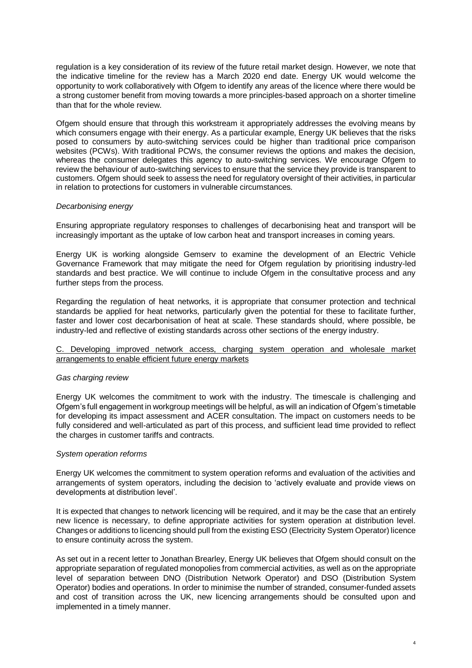regulation is a key consideration of its review of the future retail market design. However, we note that the indicative timeline for the review has a March 2020 end date. Energy UK would welcome the opportunity to work collaboratively with Ofgem to identify any areas of the licence where there would be a strong customer benefit from moving towards a more principles-based approach on a shorter timeline than that for the whole review.

Ofgem should ensure that through this workstream it appropriately addresses the evolving means by which consumers engage with their energy. As a particular example, Energy UK believes that the risks posed to consumers by auto-switching services could be higher than traditional price comparison websites (PCWs). With traditional PCWs, the consumer reviews the options and makes the decision, whereas the consumer delegates this agency to auto-switching services. We encourage Ofgem to review the behaviour of auto-switching services to ensure that the service they provide is transparent to customers. Ofgem should seek to assess the need for regulatory oversight of their activities, in particular in relation to protections for customers in vulnerable circumstances.

#### *Decarbonising energy*

Ensuring appropriate regulatory responses to challenges of decarbonising heat and transport will be increasingly important as the uptake of low carbon heat and transport increases in coming years.

Energy UK is working alongside Gemserv to examine the development of an Electric Vehicle Governance Framework that may mitigate the need for Ofgem regulation by prioritising industry-led standards and best practice. We will continue to include Ofgem in the consultative process and any further steps from the process.

Regarding the regulation of heat networks, it is appropriate that consumer protection and technical standards be applied for heat networks, particularly given the potential for these to facilitate further, faster and lower cost decarbonisation of heat at scale. These standards should, where possible, be industry-led and reflective of existing standards across other sections of the energy industry.

#### C. Developing improved network access, charging system operation and wholesale market arrangements to enable efficient future energy markets

#### *Gas charging review*

Energy UK welcomes the commitment to work with the industry. The timescale is challenging and Ofgem's full engagement in workgroup meetings will be helpful, as will an indication of Ofgem's timetable for developing its impact assessment and ACER consultation. The impact on customers needs to be fully considered and well-articulated as part of this process, and sufficient lead time provided to reflect the charges in customer tariffs and contracts.

#### *System operation reforms*

Energy UK welcomes the commitment to system operation reforms and evaluation of the activities and arrangements of system operators, including the decision to 'actively evaluate and provide views on developments at distribution level'.

It is expected that changes to network licencing will be required, and it may be the case that an entirely new licence is necessary, to define appropriate activities for system operation at distribution level. Changes or additions to licencing should pull from the existing ESO (Electricity System Operator) licence to ensure continuity across the system.

As set out in a recent letter to Jonathan Brearley, Energy UK believes that Ofgem should consult on the appropriate separation of regulated monopolies from commercial activities, as well as on the appropriate level of separation between DNO (Distribution Network Operator) and DSO (Distribution System Operator) bodies and operations. In order to minimise the number of stranded, consumer-funded assets and cost of transition across the UK, new licencing arrangements should be consulted upon and implemented in a timely manner.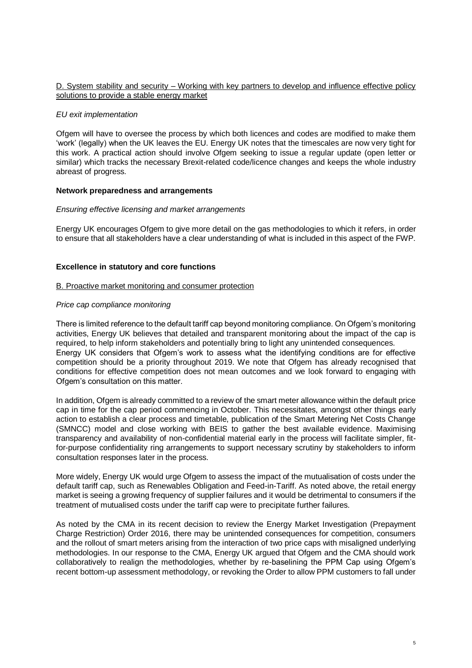## D. System stability and security – Working with key partners to develop and influence effective policy solutions to provide a stable energy market

## *EU exit implementation*

Ofgem will have to oversee the process by which both licences and codes are modified to make them 'work' (legally) when the UK leaves the EU. Energy UK notes that the timescales are now very tight for this work. A practical action should involve Ofgem seeking to issue a regular update (open letter or similar) which tracks the necessary Brexit-related code/licence changes and keeps the whole industry abreast of progress.

## **Network preparedness and arrangements**

## *Ensuring effective licensing and market arrangements*

Energy UK encourages Ofgem to give more detail on the gas methodologies to which it refers, in order to ensure that all stakeholders have a clear understanding of what is included in this aspect of the FWP.

## **Excellence in statutory and core functions**

#### B. Proactive market monitoring and consumer protection

#### *Price cap compliance monitoring*

There is limited reference to the default tariff cap beyond monitoring compliance. On Ofgem's monitoring activities, Energy UK believes that detailed and transparent monitoring about the impact of the cap is required, to help inform stakeholders and potentially bring to light any unintended consequences. Energy UK considers that Ofgem's work to assess what the identifying conditions are for effective competition should be a priority throughout 2019. We note that Ofgem has already recognised that conditions for effective competition does not mean outcomes and we look forward to engaging with Ofgem's consultation on this matter.

In addition, Ofgem is already committed to a review of the smart meter allowance within the default price cap in time for the cap period commencing in October. This necessitates, amongst other things early action to establish a clear process and timetable, publication of the Smart Metering Net Costs Change (SMNCC) model and close working with BEIS to gather the best available evidence. Maximising transparency and availability of non-confidential material early in the process will facilitate simpler, fitfor-purpose confidentiality ring arrangements to support necessary scrutiny by stakeholders to inform consultation responses later in the process.

More widely, Energy UK would urge Ofgem to assess the impact of the mutualisation of costs under the default tariff cap, such as Renewables Obligation and Feed-in-Tariff. As noted above, the retail energy market is seeing a growing frequency of supplier failures and it would be detrimental to consumers if the treatment of mutualised costs under the tariff cap were to precipitate further failures.

As noted by the CMA in its recent decision to review the Energy Market Investigation (Prepayment Charge Restriction) Order 2016, there may be unintended consequences for competition, consumers and the rollout of smart meters arising from the interaction of two price caps with misaligned underlying methodologies. In our response to the CMA, Energy UK argued that Ofgem and the CMA should work collaboratively to realign the methodologies, whether by re-baselining the PPM Cap using Ofgem's recent bottom-up assessment methodology, or revoking the Order to allow PPM customers to fall under